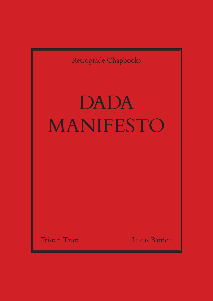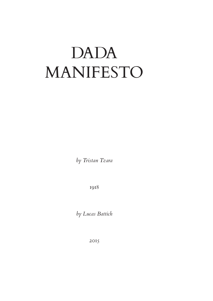## DADA MANIFESTO

*by Tristan Tzara*

1918

*by Lucas Battich*

2015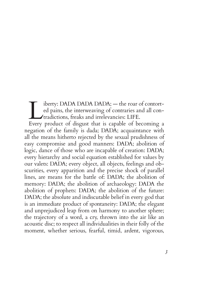iberty: DADA DADA DADA; — the roar of contorted pains, the interweaving of contraries and all contradictions, freaks and irrelevancies: LIFE.

Every product of disgust that is capable of becoming a negation of the family is dada; DADA; acquaintance with all the means hitherto rejected by the sexual prudishness of easy compromise and good manners: DADA; abolition of logic, dance of those who are incapable of creation: DADA; every hierarchy and social equation established for values by our valets: DADA; every object, all objects, feelings and obscurities, every apparition and the precise shock of parallel lines, are means for the battle of: DADA; the abolition of memory: DADA; the abolition of archaeology: DADA the abolition of prophets: DADA; the abolition of the future: DADA; the absolute and indiscutable belief in every god that is an immediate product of spontaneity: DADA; the elegant and unprejudiced leap from on harmony to another sphere; the trajectory of a word, a cry, thrown into the air like an acoustic disc; to respect all individualities in their folly of the moment, whether serious, fearful, timid, ardent, vigorous,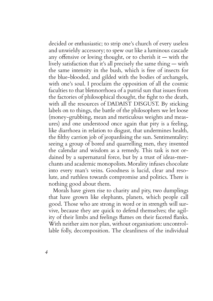decided or enthusiastic; to strip one's church of every useless and unwieldy accessory; to spew out like a luminous cascade any offensive or loving thought, or to cherish it — with the lively satisfaction that it's all precisely the same thing — with the same intensity in the bush, which is free of insects for the blue-blooded, and gilded with the bodies of archangels, with one's soul. I proclaim the opposition of all the cosmic faculties to that blennorrhoea of a putrid sun that issues from the factories of philosophical thought, the fight to the death, with all the resources of DADAIST DISGUST. By sticking labels on to things, the battle of the philosophers we let loose (money-grubbing, mean and meticulous weights and measures) and one understood once again that pity is a feeling, like diarrhoea in relation to disgust, that undermines health, the filthy carrion job of jeopardising the sun. Sentimentality: seeing a group of bored and quarrelling men, they invented the calendar and wisdom as a remedy. This task is not ordained by a supernatural force, but by a trust of ideas-merchants and academic monopolists. Morality infuses chocolate into every man's veins. Goodness is lucid, clear and resolute, and ruthless towards compromise and politics. There is nothing good about them.

Morals have given rise to charity and pity, two dumplings that have grown like elephants, planets, which people call good. Those who are strong in word or in strength will survive, because they are quick to defend themselves; the agility of their limbs and feelings flames on their faceted flanks. With neither aim nor plan, without organisation: uncontrollable folly, decomposition. The cleanliness of the individual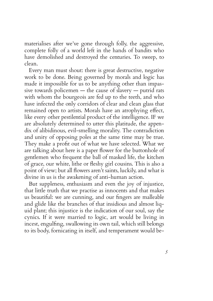materialises after we've gone through folly, the aggressive, complete folly of a world left in the hands of bandits who have demolished and destroyed the centuries. To sweep, to clean.

Every man must shout: there is great destructive, negative work to be done. Being governed by morals and logic has made it impossible for us to be anything other than impassive towards policemen — the cause of slavery — putrid rats with whom the bourgeois are fed up to the teeth, and who have infected the only corridors of clear and clean glass that remained open to artists. Morals have an atrophying effect, like every other pestilential product of the intelligence. IF we are absolutely determined to utter this platitude, the appendix of alibidinous, evil-smelling morality. The contradiction and unity of opposing poles at the same time may be true. They make a profit out of what we have selected. What we are talking about here is a paper flower for the buttonhole of gentlemen who frequent the ball of masked life, the kitchen of grace, our white, lithe or fleshy girl cousins. This is also a point of view; but all flowers aren't saints, luckily, and what is divine in us is the awakening of anti-human action.

But suppleness, enthusiasm and even the joy of injustice, that little truth that we practise as innocents and that makes us beautiful: we are cunning, and our fingers are malleable and glide like the branches of that insidious and almost liquid plant; this injustice is the indication of our soul, say the cynics. If it were married to logic, art would be living in incest, engulfing, swallowing its own tail, which still belongs to its body, fornicating in itself, and temperament would be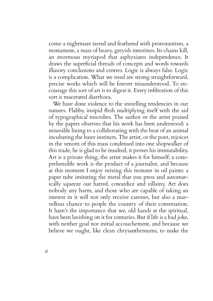come a nightmare tarred and feathered with protestantism, a monument, a mass of heavy, greyish intestines. Its chains kill, an enormous myriapod that asphyxiates independence. It draws the superficial threads of concepts and words towards illusory conclusions and centres. Logic is always false. Logic is a complication. What we need are strong straightforward, precise works which will be forever misunderstood. To encourage this sort of art is to digest it. Every infiltration of this sort is macerated diarrhoea.

We have done violence to the snivelling tendencies in our natures. Flabby, insipid flesh multiplying itself with the aid of typographical microbes. The author or the artist praised by the papers observes that his work has been understood: a miserable lining to a collaborating with the heat of an animal incubating the baser instincts. The artist, or the poet, rejoices in the venom of this mass condensed into one shopwalker of this trade, he is glad to be insulted, it proves his immutability. Art is a private thing, the artist makes it for himself; a comprehensible work is the product of a journalist, and because at this moment I enjoy mixing this monster in oil paints: a paper tube imitating the metal that you press and automatically squeeze out hatred, cowardice and villainy. Art does nobody any harm, and those who are capable of taking an interest in it will not only receive caresses, but also a marvellous chance to people the country of their conversation. It hasn't the importance that we, old hands at the spiritual, have been lavishing on it for centuries. But if life is a bad joke, with neither goal nor initial accouchement, and because we believe we ought, like clean chrysanthemums, to make the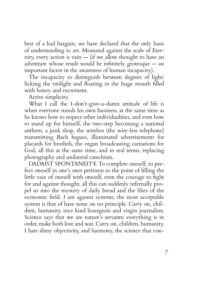best of a bad bargain, we have declared that the only basis of understanding is: art. Measured against the scale of Eternity, every action is vain — (if we allow thought to have an adventure whose result would be infinitely grotesque — an important factor in the awareness of human incapacity).

The incapacity to distinguish between degrees of light: licking the twilight and floating in the huge mouth filled with honey and excrement.

Active simplicity.

What I call the I-don't-give-a-damn attitude of life is when everyone minds his own business, at the same time as he knows how to respect other individualities, and even how to stand up for himself, the two-step becoming a national anthem, a junk shop, the wireless (the wire-less telephone) transmitting Bach fugues, illuminated advertisements for placards for brothels, the organ broadcasting carnations for God, all this at the same time, and in real terms, replacing photography and unilateral catechism.

DADAIST SPONTANEITY. To complete oneself, to perfect oneself in one's own pettiness to the point of filling the little vase of oneself with oneself, even the courage to fight for and against thought, all this can suddenly infernally propel us into the mystery of daily bread and the lilies of the economic field. I am against systems; the most acceptable system is that of have none on no principle. Carry on, children, humanity, nice kind bourgeois and virgin journalists. Science says that we are nature's servants: everything is in order, make both love and war. Carry on, children, humanity. I hate slimy objectivity, and harmony, the science that con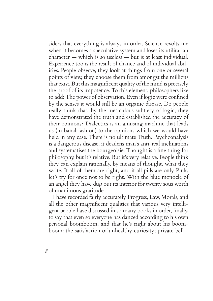siders that everything is always in order. Science revolts me when it becomes a speculative system and loses its utilitarian character — which is so useless — but is at least individual. Experience too is the result of chance and of individual abilities. People observe, they look at things from one or several points of view, they choose them from amongst the millions that exist. But this magnificent quality of the mind is precisely the proof of its impotence. To this element, philosophers like to add: The power of observation. Even if logic were confined by the senses it would still be an organic disease. Do people really think that, by the meticulous subtlety of logic, they have demonstrated the truth and established the accuracy of their opinions? Dialectics is an amusing machine that leads us (in banal fashion) to the opinions which we would have held in any case. There is no ultimate Truth. Psychoanalysis is a dangerous disease, it deadens man's anti-real inclinations and systematises the bourgeoisie. Thought is a fine thing for philosophy, but it's relative. But it's very relative. People think they can explain rationally, by means of thought, what they write. If all of them are right, and if all pills are only Pink, let's try for once not to be right. With the blue monocle of an angel they have dug out its interior for twenty sous worth of unanimous gratitude.

I have recorded fairly accurately Progress, Law, Morals, and all the other magnificent qualities that various very intelligent people have discussed in so many books in order, finally, to say that even so everyone has danced according to his own personal boomboom, and that he's right about his boomboom: the satisfaction of unhealthy curiosity; private bell—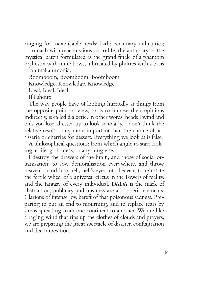ringing for inexplicable needs; bath; pecuniary difficulties; a stomach with repercussions on to life; the authority of the mystical baton formulated as the grand finale of a phantom orchestra with mute bows, lubricated by philtres with a basis of animal ammonia.

Boomboom, Boomboom, Boomboom

Knowledge, Knowledge, Knowledge

Ideal, Ideal, Ideal

If I shout:

The way people have of looking hurriedly at things from the opposite point of view, so as to impose their opinions indirectly, is called dialectic, in other words, heads I wind and tails you lose, dressed up to look scholarly. I don't think the relative result is any more important than the choice of patisserie or cherries for dessert. Everything we look at is false.

A philosophical questions: from which angle to start looking at life, god, ideas, or anything else.

I destroy the drawers of the brain, and those of social organisation: to sow demoralisation everywhere, and throw heaven's hand into hell, hell's eyes into heaven, to reinstate the fertile wheel of a universal circus in the Powers of reality, and the fantasy of every individual. DADA is the mark of abstraction; publicity and business are also poetic elements. Clarions of intense joy, bereft of that poisonous sadness. Preparing to put an end to mourning, and to replace tears by sirens spreading from one continent to another. We are like a raging wind that rips up the clothes of clouds and prayers, we are preparing the great spectacle of disaster, conflagration and decomposition.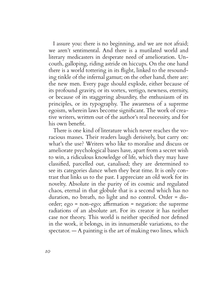I assure you: there is no beginning, and we are not afraid; we aren't sentimental. And there is a mutilated world and literary medicasters in desperate need of amelioration. Uncouth, galloping, riding astride on hiccups. On the one hand there is a world tottering in its flight, linked to the resounding tinkle of the infernal gamut; on the other hand, there are: the new men. Every page should explode, either because of its profound gravity, or its vortex, vertigo, newness, eternity, or because of its staggering absurdity, the enthusiasm of its principles, or its typography. The awareness of a supreme egoism, wherein laws become significant. The work of creative writers, written out of the author's real necessity, and for his own benefit.

There is one kind of literature which never reaches the voracious masses. Their readers laugh derisively, but carry on: what's the use? Writers who like to moralise and discuss or ameliorate psychological bases have, apart from a secret wish to win, a ridiculous knowledge of life, which they may have classified, parcelled out, canalised; they are determined to see its categories dance when they beat time. It is only contrast that links us to the past. I appreciate an old work for its novelty. Absolute in the purity of its cosmic and regulated chaos, eternal in that globule that is a second which has no duration, no breath, no light and no control. Order = disorder; ego = non-ego; affirmation = negation: the supreme radiations of an absolute art. For its creator it has neither case nor theory. This world is neither specified nor defined in the work, it belongs, in its innumerable variations, to the spectator.  $-$  A painting is the art of making two lines, which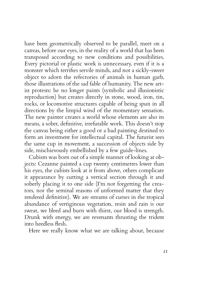have been geometrically observed to be parallel, meet on a canvas, before our eyes, in the reality of a world that has been transposed according to new conditions and possibilities. Every pictorial or plastic work is unnecessary, even if it is a monster which terrifies servile minds, and not a sickly-sweet object to adorn the refectories of animals in human garb, those illustrations of the sad fable of humanity. The new artist protests: he no longer paints (symbolic and illusionistic reproduction) but creates directly in stone, wood, iron, tin, rocks, or locomotive structures capable of being spun in all directions by the limpid wind of the momentary sensation. The new painter creates a world whose elements are also its means, a sober, definitive, irrefutable work. This doesn't stop the canvas being either a good or a bad painting destined to form an investment for intellectual capital. The futurist sees the same cup in movement, a succession of objects side by side, mischievously embellished by a few guide-lines.

Cubism was born out of a simple manner of looking at objects: Cezanne painted a cup twenty centimetres lower than his eyes, the cubists look at it from above, others complicate it appearance by cutting a vertical section through it and soberly placing it to one side (I'm not forgetting the creators, nor the seminal reasons of unformed matter that they rendered definitive). We are streams of curses in the tropical abundance of vertiginous vegetation, resin and rain is our sweat, we bleed and burn with thirst, our blood is strength. Drunk with energy, we are revenants thrusting the trident into heedless flesh.

Here we really know what we are talking about, because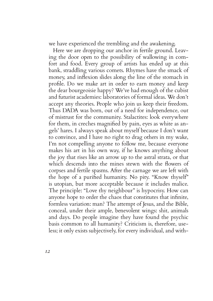we have experienced the trembling and the awakening.

Here we are dropping our anchor in fertile ground. Leaving the door open to the possibility of wallowing in comfort and food. Every group of artists has ended up at this bank, straddling various comets. Rhymes have the smack of money, and inflexion slides along the line of the stomach in profile. Do we make art in order to earn money and keep the dear bourgeoisie happy? We've had enough of the cubist and futurist academies: laboratories of formal ideas. We don't accept any theories. People who join us keep their freedom. Thus DADA was born, out of a need for independence, out of mistrust for the community. Stalactites: look everywhere for them, in creches magnified by pain, eyes as white as angels' hares. I always speak about myself because I don't want to convince, and I have no right to drag others in my wake, I'm not compelling anyone to follow me, because everyone makes his art in his own way, if he knows anything about the joy that rises like an arrow up to the astral strata, or that which descends into the mines stewn with the flowers of corpses and fertile spasms. After the carnage we are left with the hope of a purified humanity. No pity. "Know thyself" is utopian, but more acceptable because it includes malice. The principle: "Love thy neighbour" is hypocrisy. How can anyone hope to order the chaos that constitutes that infinite, formless variation: man? The attempt of Jesus, and the Bible, conceal, under their ample, benevolent wings: shit, animals and days. Do people imagine they have found the psychic basis common to all humanity? Criticism is, therefore, useless; it only exists subjectively, for every individual, and with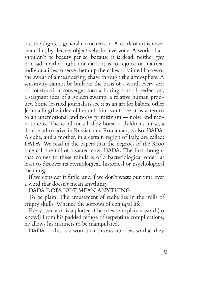out the slightest general characteristic. A work of art is never beautiful, by decree, objectively, for everyone. A work of art shouldn't be beauty per se, because it is dead; neither gay nor sad, neither light nor dark; it is to rejoice or maltreat individualities to serve them up the cakes of sainted haloes or the sweat of a meandering chase through the atmosphere. A sensitivity cannot be built on the basis of a word; every sort of construction converges into a boring sort of perfection, a stagnant idea of a golden swamp, a relative human product. Some learned journalists see it as an art for babies, other Jesuscallingthelittlechildrenuntohim saints see it as a return to an unemotional and noisy primitivism — noise and monotonous. The word for a hobby horse, a children's nurse, a double affirmative in Russian and Romanian, is also: DADA. A cube, and a mother, in a certain region of Italy, are called: DADA. We read in the papers that the negroes of the Kroo race call the tail of a sacred cow: DADA. The first thought that comes to these minds is of a bacteriological order: at least to discover its etymological, historical or psychological meaning.

If we consider it futile, and if we don't waste our time over a word that doesn't mean anything.

## DADA DOES NOT MEAN ANYTHING.

To be plain: The amusement of redbellies in the mills of empty skulls. Whence the sorrows of conjugal life.

Every spectator is a plotter, if he tries to explain a word (to know!) From his padded refuge of serpentine complications, he allows his instincts to be manipulated.

DADA — this is a word that throws up ideas so that they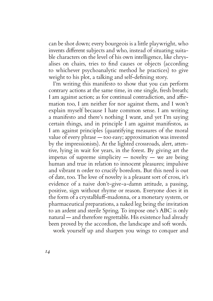can be shot down; every bourgeois is a little playwright, who invents different subjects and who, instead of situating suitable characters on the level of his own intelligence, like chrysalises on chairs, tries to find causes or objects (according to whichever psychoanalytic method he practices) to give weight to his plot, a talking and self-defining story.

I'm writing this manifesto to show that you can perform contrary actions at the same time, in one single, fresh breath; I am against action; as for continual contradiction, and affirmation too, I am neither for nor against them, and I won't explain myself because I hate common sense. I am writing a manifesto and there's nothing I want, and yet I'm saying certain things, and in principle I am against manifestos, as I am against principles (quantifying measures of the moral value of every phrase — too easy; approximation was invested by the impressionists). At the lighted crossroads, alert, attentive, lying in wait for years, in the forest. By giving art the impetus of supreme simplicity — novelty — we are being human and true in relation to innocent pleasures; impulsive and vibrant n order to crucify boredom. But this need is out of date, too. The love of novelty is a pleasant sort of cross, it's evidence of a naive don't-give-a-damn attitude, a passing, positive, sign without rhyme or reason. Everyone does it in the form of a crystalbluff-madonna, or a monetary system, or pharmaceutical preparations, a naked leg being the invitation to an ardent and sterile Spring. To impose one's ABC is only natural — and therefore regrettable. His existence had already been proved by the accordion, the landscape and soft words. work yourself up and sharpen you wings to conquer and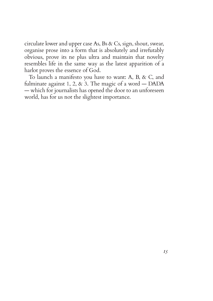circulate lower and upper case As, Bs & Cs, sign, shout, swear, organise prose into a form that is absolutely and irrefutably obvious, prove its ne plus ultra and maintain that novelty resembles life in the same way as the latest apparition of a harlot proves the essence of God.

To launch a manifesto you have to want: A, B, & C, and fulminate against 1, 2,  $\&$  3. The magic of a word — DADA — which for journalists has opened the door to an unforeseen world, has for us not the slightest importance.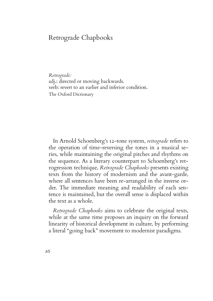## Retrograde Chapbooks

*Retrograde:* adj.: directed or moving backwards. verb: revert to an earlier and inferior condition. The Oxford Dictionary

In Arnold Schoenberg's 12-tone system, *retrograde* refers to the operation of time-reversing the tones in a musical series, while maintaining the original pitches and rhythms on the sequence. As a literary counterpart to Schoenberg's retrogression technique, *Retrograde Chapbooks* presents existing texts from the history of modernism and the avant-garde, where all sentences have been re-arranged in the inverse order. The immediate meaning and readability of each sentence is maintained, but the overall sense is displaced within the text as a whole.

*Retrograde Chapbooks* aims to celebrate the original texts, while at the same time proposes an inquiry on the forward linearity of historical development in culture, by performing a literal "going back" movement to modernist paradigms.